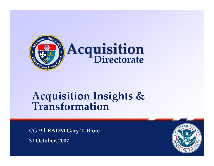

# **Acquisition Insights & Transformation**

**CG‐9 | RADM Gary T. Blore 31 October, 2007**

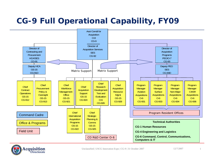### **CG-9 Full Operational Capability, FY09**



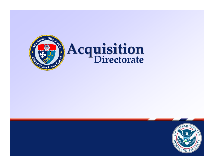

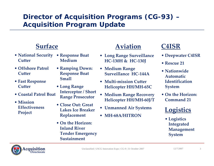### **Director of Acquisition Programs (CG-93) – Acquisition Program Update**

### **Surface**

- **National Security Cutter**
- **Offshore Patrol Cutter**
- **Fast Response Cutter**
- **Coastal Patrol Boat**
- **MissionEffectiveness Project**
- **Response Boat Medium**
- **Ramping Down: Response Boat Small**
- **Long Range Interceptor / Short Range Prosecutor**
- **Close Out: Great Lakes Ice Breaker Replacement**
- **On the Horizon: Inland River Tender Emergency Sustainment**

### **Aviation**

- **Long Range Surveillance HC‐130H & HC‐130J**
- **Medium Range Surveillance HC‐144A**
- **Multi‐mission Cutter Helicopter HH/MH‐65C**
- **Medium Range Recovery Helicopter HH/MH‐60J/T**
- **Unmanned Air Systems**
- **MH‐68A/HITRON**

#### **C4ISR**

- **Deepwater C4ISR**
- **Rescue 21**
- **Nationwide Automatic IdentificationSystem**
- **On the Horizon: Command 21**

### **Logistics**

• **Logistics Integrated Management System**

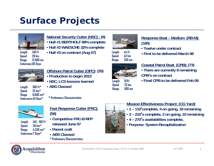### **Surface Projects**



**Speed 28 kts Range 12,000 nm Endurance 60 Days**

**National Security Cutter (NSC) : (8)**

- **Hull #1 BERTHOLF 88% complete**
- **Hull #2 WAESCHE 32% complete**
- **Hull #3 on contract (Aug 07)**



**Length 44 Ft Speed 42 kts Range 250 nm**

**Length 87Ft Speed 25 kts Range 600 nm**

#### **Response Boat – Medium (RB-M): (180)**

- **Twelve under contract**
- **First to be delivered March 08**



**Length 360 Ft\* Speed 25 kts\* Range 9,000 nm\* Endurance 45 Days\***

- **Offshore Patrol Cutter (OPC): (25)**
- **Production to begin 2012**
- **NSC, LCS lessons learned**
- **ABS Classed**
	- **\* Preliminary Characteristics**



**Length 140 - 160 Ft Speed 30 kts\* Range 4,230 nm\* Endurance 7 Days\***

- **Fast Response Cutter (FRC): (58)**
- **Competitive FRC-B RFP released June 07**
- **Parent craft**
- **ABS Classed**
- **\* Preliminary Characteristics**



- **Coastal Patrol Boat (CPB): (73)**
- **There are currently 8 remaining CPB's on contract**
- **Final CPB to be delivered Feb 09**
- **Mission Effectiveness Project: (CG Yard)**
	- **1 110'complete, 4 on going, 18 remaining**
	- **2 210's complete, 2 on going, 10 remaining**
	- **4 270's availabilities complete,**
	- **Purpose: System Recapitalization**



Unclassified | USCG Innovation Expo | CG-9 | 31 October 2007 12/7/2007 12/7/2007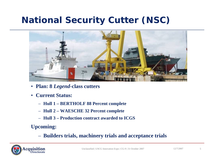### **National Security Cutter (NSC)**



- **Plan: 8** *Legend***-class cutters**
- **Current Status:** 
	- **Hull 1 BERTHOLF 88 Percent complete**
	- **Hull 2 WAESCHE 32 Percent complete**
	- **Hull 3 Production contract awarded to ICGS**

**Upcoming:** 

– **Builders trials, machinery trials and acceptance trials** 

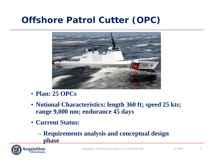### **Offshore Patrol Cutter (OPC)**



- **Plan: 25 OPCs**
- **Notional Characteristics: length 360 ft; speed 25 kts; range 9,000 nm; endurance 45 days**
- **Current Status:** 
	- **Requirements analysis and conceptual design phase**

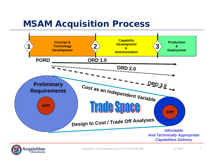### **MSAM Acquisition Process**



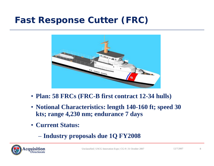### **Fast Response Cutter (FRC)**



- **Plan: 58 FRCs (FRC-B first contract 12-34 hulls)**
- **Notional Characteristics: length 140-160 ft; speed 30 kts; range 4,230 nm; endurance 7 days**
- **Current Status:** 
	- **Industry proposals due 1Q FY2008**

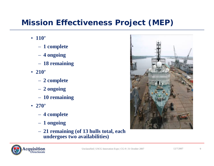### **Mission Effectiveness Project (MEP)**

- **110'**
	- **1 complete**
	- **4 ongoing**
	- **18 remaining**
- **210'**
	- **2 complete**
	- **2 ongoing**
	- **10 remaining**
- **270'**
	- **4 complete**
	- **1 ongoing**
	- **21 remaining (of 13 hulls total, each undergoes two availabilities)**



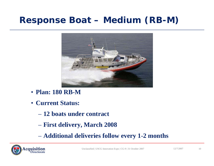### **Response Boat – Medium (RB-M)**



- **Plan: 180 RB-M**
- **Current Status:** 
	- **12 boats under contract**
	- **First delivery, March 2008**
	- **Additional deliveries follow every 1-2 months**

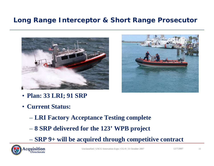#### **Long Range Interceptor & Short Range Prosecutor**



• **Plan: 33 LRI; 91 SRP** 



- **Current Status:** 
	- **LRI Factory Acceptance Testing complete**
	- **8 SRP delivered for the 123' WPB project**
	- **SRP 9+ will be acquired through competitive contract**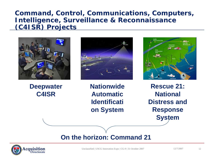#### **Command, Control, Communications, Computers, Intelligence, Surveillance & Reconnaissance (C4ISR) Projects**



**Deepwater C4ISR**



**Nationwide Automatic Identificati on System**



**Rescue 21: National Distress and Response System**

#### **On the horizon: Command 21**

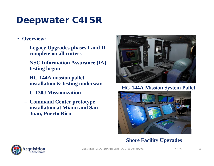### **Deepwater C4ISR**

- **Overview:** 
	- **Legacy Upgrades phases I and II complete on all cutters**
	- **NSC Information Assurance (IA) testing begun**
	- **HC-144A mission pallet installation & testing underway**
	- **C-130J Missionization**
	- **Command Center prototype installation at Miami and San Juan, Puerto Rico**



**HC-144A Mission System Pallet**



#### **Shore Facility Upgrades**

![](_page_13_Picture_11.jpeg)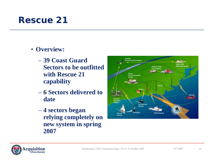### **Rescue 21**

- **Overview:** 
	- **39 Coast Guard Sectors to be outfitted with Rescue 21 capability**
	- **6 Sectors delivered to date**
	- **4 sectors began relying completely on new system in spring 2007**

![](_page_14_Figure_5.jpeg)

![](_page_14_Picture_6.jpeg)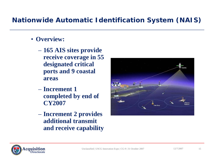### **Nationwide Automatic Identification System (NAIS)**

- **Overview:** 
	- **165 AIS sites provide receive coverage in 55 designated critical ports and 9 coastal areas**
	- **Increment 1 completed by end of CY2007**
	- **Increment 2 provides additional transmit and receive capability**

![](_page_15_Figure_5.jpeg)

![](_page_15_Picture_6.jpeg)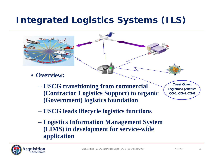## **Integrated Logistics Systems (ILS)**

![](_page_16_Figure_1.jpeg)

– **USCG transitioning from commercial (Contractor Logistics Support) to organic (Government) logistics foundation** 

**Coast Guard Logistics Systems: CG-1, CG-4, CG-6**

- **USCG leads lifecycle logistics functions**
- **Logistics Information Management System (LIMS) in development for service-wide application**

![](_page_16_Picture_6.jpeg)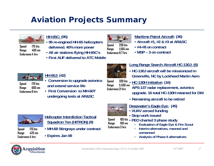### **Aviation Projects Summary**

![](_page_17_Picture_1.jpeg)

**Speed 175 kts Range 400 nm Endurance 4 hrs**

#### **HH-65C: (95)**

- **95 re-engined HH-65 helicopters** 
	- **delivered. 40% more power**
- **All air stations flying HH-65C's**
- **First AUF delivered to ATC Mobile**

![](_page_17_Picture_8.jpeg)

**Speed 236 kts Range 1,565 nm Endurance 8.7 hrs**

#### **Maritime Patrol Aircraft: (36)**

- **Aircraft #1, #2 & #3 at AR&SC**
- **#4-#8 on contract**
- **MSP 3 on contract**

![](_page_17_Picture_14.jpeg)

#### **HH-60J: (42)**

![](_page_17_Picture_16.jpeg)

- **Conversion to upgrade avionics and extend service life**
- **First Conversion to MH-60T undergoing tests at AR&SC**

![](_page_17_Picture_19.jpeg)

#### **Long Range Search Aircraft HC-130J: (6)**

- **HC-130J aircraft will be missionized in Greenville, NC by Lockheed Martin Aero**
- **HC-130H initiative: (16) Speed 330 kts**

**Range 5.500 nm Endurance 21 hrs**

- **APS-137 radar replacement, avionics upgrade. 16 total HC-130H retained for DW**
- **Remaining aircraft to be retired**

![](_page_17_Picture_26.jpeg)

**Helicopter Interdiction Tactical Squadron Ten (HITRON) (8)**

**Range 420 nm Endurance 4 hrs**

![](_page_17_Picture_29.jpeg)

- **MH-68 Stingrays under contract 3 hrs Speed 170 kts**
	- **Expires Jan 08**

**Range 100 nm Endurance**

- **Deepwater's Eagle Eye: (45)**
- **VUAV zeroed funding**
- **Stop work issued**
- **PEO charted 3 phase study Speed 185 kts**
	- **Evaluation of Eagle Eye & Fire Scout**
	- **Interim alternatives, manned and unmanned**
	- **Analysis of Phase II alternatives**

![](_page_17_Picture_42.jpeg)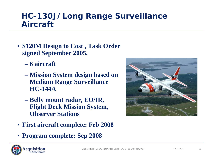### **HC-130J/Long Range Surveillance Aircraft**

- **\$120M Design to Cost , Task Order signed September 2005.**
	- **6 aircraft**
	- **Mission System design based on Medium Range Surveillance HC-144A**
	- **Belly mount radar, EO/IR, Flight Deck Mission System, Observer Stations**

![](_page_18_Picture_5.jpeg)

- **First aircraft complete: Feb 2008**
- **Program complete: Sep 2008**

![](_page_18_Picture_8.jpeg)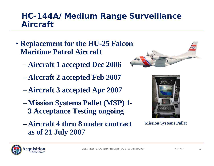### **HC-144A/Medium Range Surveillance Aircraft**

- **Replacement for the HU-25 Falcon Maritime Patrol Aircraft** 
	- **Aircraft 1 accepted Dec 2006**
	- **Aircraft 2 accepted Feb 2007**
	- **Aircraft 3 accepted Apr 2007**
	- **Mission Systems Pallet (MSP) 1- 3 Acceptance Testing ongoing**
	- **Aircraft 4 thru 8 under contract as of 21 July 2007**

![](_page_19_Picture_7.jpeg)

![](_page_19_Picture_8.jpeg)

**Mission Systems Pallet**

![](_page_19_Picture_10.jpeg)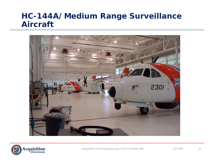### **HC-144A/Medium Range Surveillance Aircraft**

![](_page_20_Picture_1.jpeg)

![](_page_20_Picture_2.jpeg)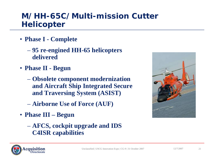### **M/HH-65C/Multi-mission Cutter Helicopter**

- **Phase I Complete**
	- **95 re-engined HH-65 helicopters delivered**
- **Phase II Begun** 
	- **Obsolete component modernization and Aircraft Ship Integrated Secure and Traversing System (ASIST)**
	- **Airborne Use of Force (AUF)**
- **Phase III Begun** 
	- **AFCS, cockpit upgrade and IDS C4ISR capabilities**

![](_page_21_Picture_8.jpeg)

![](_page_21_Picture_9.jpeg)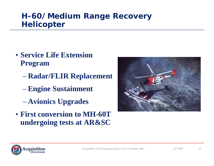### **H-60/Medium Range Recovery Helicopter**

- **Service Life Extension Program**
	- **Radar/FLIR Replacement**
	- **Engine Sustainment**
	- **Avionics Upgrades**
- **First conversion to MH-60T undergoing tests at AR&SC**

![](_page_22_Picture_6.jpeg)

![](_page_22_Picture_7.jpeg)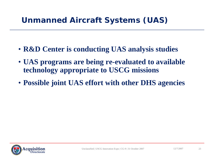### **Unmanned Aircraft Systems (UAS)**

- **R&D Center is conducting UAS analysis studies**
- **UAS programs are being re-evaluated to available technology appropriate to USCG missions**
- **Possible joint UAS effort with other DHS agencies**

![](_page_23_Picture_4.jpeg)